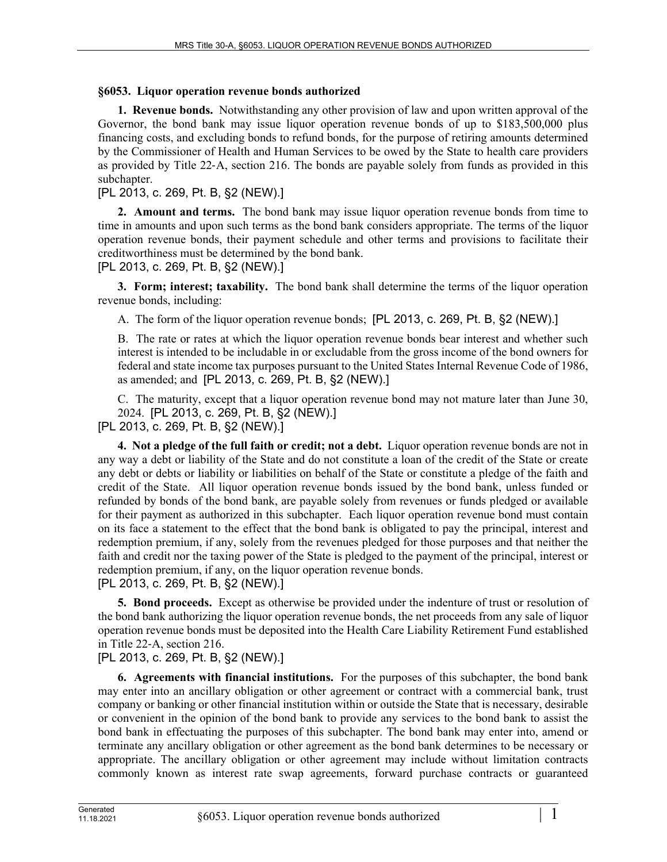## **§6053. Liquor operation revenue bonds authorized**

**1. Revenue bonds.** Notwithstanding any other provision of law and upon written approval of the Governor, the bond bank may issue liquor operation revenue bonds of up to \$183,500,000 plus financing costs, and excluding bonds to refund bonds, for the purpose of retiring amounts determined by the Commissioner of Health and Human Services to be owed by the State to health care providers as provided by Title 22‑A, section 216. The bonds are payable solely from funds as provided in this subchapter.

[PL 2013, c. 269, Pt. B, §2 (NEW).]

**2. Amount and terms.** The bond bank may issue liquor operation revenue bonds from time to time in amounts and upon such terms as the bond bank considers appropriate. The terms of the liquor operation revenue bonds, their payment schedule and other terms and provisions to facilitate their creditworthiness must be determined by the bond bank.

[PL 2013, c. 269, Pt. B, §2 (NEW).]

**3. Form; interest; taxability.** The bond bank shall determine the terms of the liquor operation revenue bonds, including:

A. The form of the liquor operation revenue bonds; [PL 2013, c. 269, Pt. B, §2 (NEW).]

B. The rate or rates at which the liquor operation revenue bonds bear interest and whether such interest is intended to be includable in or excludable from the gross income of the bond owners for federal and state income tax purposes pursuant to the United States Internal Revenue Code of 1986, as amended; and [PL 2013, c. 269, Pt. B, §2 (NEW).]

C. The maturity, except that a liquor operation revenue bond may not mature later than June 30, 2024. [PL 2013, c. 269, Pt. B, §2 (NEW).]

[PL 2013, c. 269, Pt. B, §2 (NEW).]

**4. Not a pledge of the full faith or credit; not a debt.** Liquor operation revenue bonds are not in any way a debt or liability of the State and do not constitute a loan of the credit of the State or create any debt or debts or liability or liabilities on behalf of the State or constitute a pledge of the faith and credit of the State. All liquor operation revenue bonds issued by the bond bank, unless funded or refunded by bonds of the bond bank, are payable solely from revenues or funds pledged or available for their payment as authorized in this subchapter. Each liquor operation revenue bond must contain on its face a statement to the effect that the bond bank is obligated to pay the principal, interest and redemption premium, if any, solely from the revenues pledged for those purposes and that neither the faith and credit nor the taxing power of the State is pledged to the payment of the principal, interest or redemption premium, if any, on the liquor operation revenue bonds.

[PL 2013, c. 269, Pt. B, §2 (NEW).]

**5. Bond proceeds.** Except as otherwise be provided under the indenture of trust or resolution of the bond bank authorizing the liquor operation revenue bonds, the net proceeds from any sale of liquor operation revenue bonds must be deposited into the Health Care Liability Retirement Fund established in Title 22‑A, section 216.

## [PL 2013, c. 269, Pt. B, §2 (NEW).]

**6. Agreements with financial institutions.** For the purposes of this subchapter, the bond bank may enter into an ancillary obligation or other agreement or contract with a commercial bank, trust company or banking or other financial institution within or outside the State that is necessary, desirable or convenient in the opinion of the bond bank to provide any services to the bond bank to assist the bond bank in effectuating the purposes of this subchapter. The bond bank may enter into, amend or terminate any ancillary obligation or other agreement as the bond bank determines to be necessary or appropriate. The ancillary obligation or other agreement may include without limitation contracts commonly known as interest rate swap agreements, forward purchase contracts or guaranteed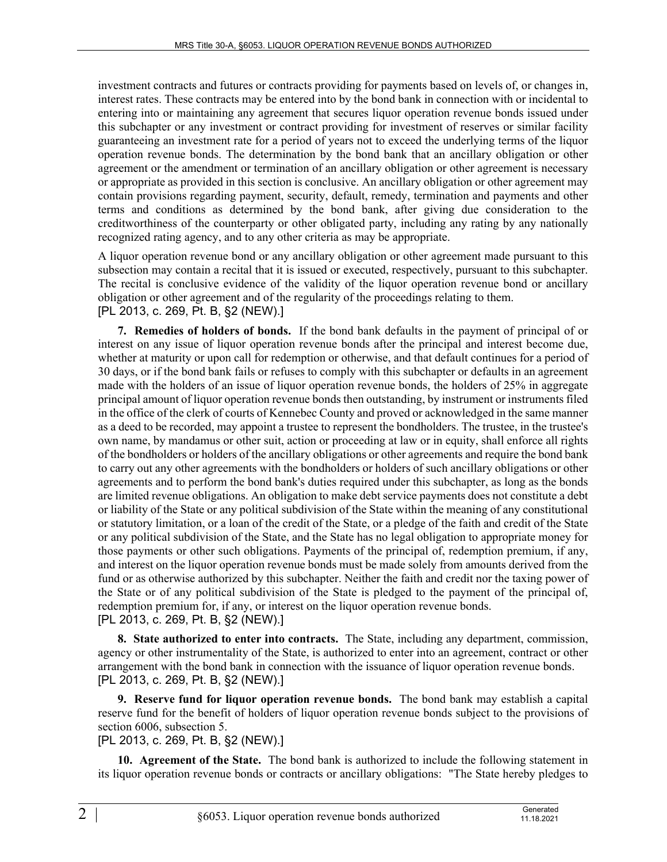investment contracts and futures or contracts providing for payments based on levels of, or changes in, interest rates. These contracts may be entered into by the bond bank in connection with or incidental to entering into or maintaining any agreement that secures liquor operation revenue bonds issued under this subchapter or any investment or contract providing for investment of reserves or similar facility guaranteeing an investment rate for a period of years not to exceed the underlying terms of the liquor operation revenue bonds. The determination by the bond bank that an ancillary obligation or other agreement or the amendment or termination of an ancillary obligation or other agreement is necessary or appropriate as provided in this section is conclusive. An ancillary obligation or other agreement may contain provisions regarding payment, security, default, remedy, termination and payments and other terms and conditions as determined by the bond bank, after giving due consideration to the creditworthiness of the counterparty or other obligated party, including any rating by any nationally recognized rating agency, and to any other criteria as may be appropriate.

A liquor operation revenue bond or any ancillary obligation or other agreement made pursuant to this subsection may contain a recital that it is issued or executed, respectively, pursuant to this subchapter. The recital is conclusive evidence of the validity of the liquor operation revenue bond or ancillary obligation or other agreement and of the regularity of the proceedings relating to them. [PL 2013, c. 269, Pt. B, §2 (NEW).]

**7. Remedies of holders of bonds.** If the bond bank defaults in the payment of principal of or interest on any issue of liquor operation revenue bonds after the principal and interest become due, whether at maturity or upon call for redemption or otherwise, and that default continues for a period of 30 days, or if the bond bank fails or refuses to comply with this subchapter or defaults in an agreement made with the holders of an issue of liquor operation revenue bonds, the holders of 25% in aggregate principal amount of liquor operation revenue bonds then outstanding, by instrument or instruments filed in the office of the clerk of courts of Kennebec County and proved or acknowledged in the same manner as a deed to be recorded, may appoint a trustee to represent the bondholders. The trustee, in the trustee's own name, by mandamus or other suit, action or proceeding at law or in equity, shall enforce all rights of the bondholders or holders of the ancillary obligations or other agreements and require the bond bank to carry out any other agreements with the bondholders or holders of such ancillary obligations or other agreements and to perform the bond bank's duties required under this subchapter, as long as the bonds are limited revenue obligations. An obligation to make debt service payments does not constitute a debt or liability of the State or any political subdivision of the State within the meaning of any constitutional or statutory limitation, or a loan of the credit of the State, or a pledge of the faith and credit of the State or any political subdivision of the State, and the State has no legal obligation to appropriate money for those payments or other such obligations. Payments of the principal of, redemption premium, if any, and interest on the liquor operation revenue bonds must be made solely from amounts derived from the fund or as otherwise authorized by this subchapter. Neither the faith and credit nor the taxing power of the State or of any political subdivision of the State is pledged to the payment of the principal of, redemption premium for, if any, or interest on the liquor operation revenue bonds. [PL 2013, c. 269, Pt. B, §2 (NEW).]

**8. State authorized to enter into contracts.** The State, including any department, commission, agency or other instrumentality of the State, is authorized to enter into an agreement, contract or other arrangement with the bond bank in connection with the issuance of liquor operation revenue bonds. [PL 2013, c. 269, Pt. B, §2 (NEW).]

**9. Reserve fund for liquor operation revenue bonds.** The bond bank may establish a capital reserve fund for the benefit of holders of liquor operation revenue bonds subject to the provisions of section 6006, subsection 5.

[PL 2013, c. 269, Pt. B, §2 (NEW).]

**10. Agreement of the State.** The bond bank is authorized to include the following statement in its liquor operation revenue bonds or contracts or ancillary obligations: "The State hereby pledges to